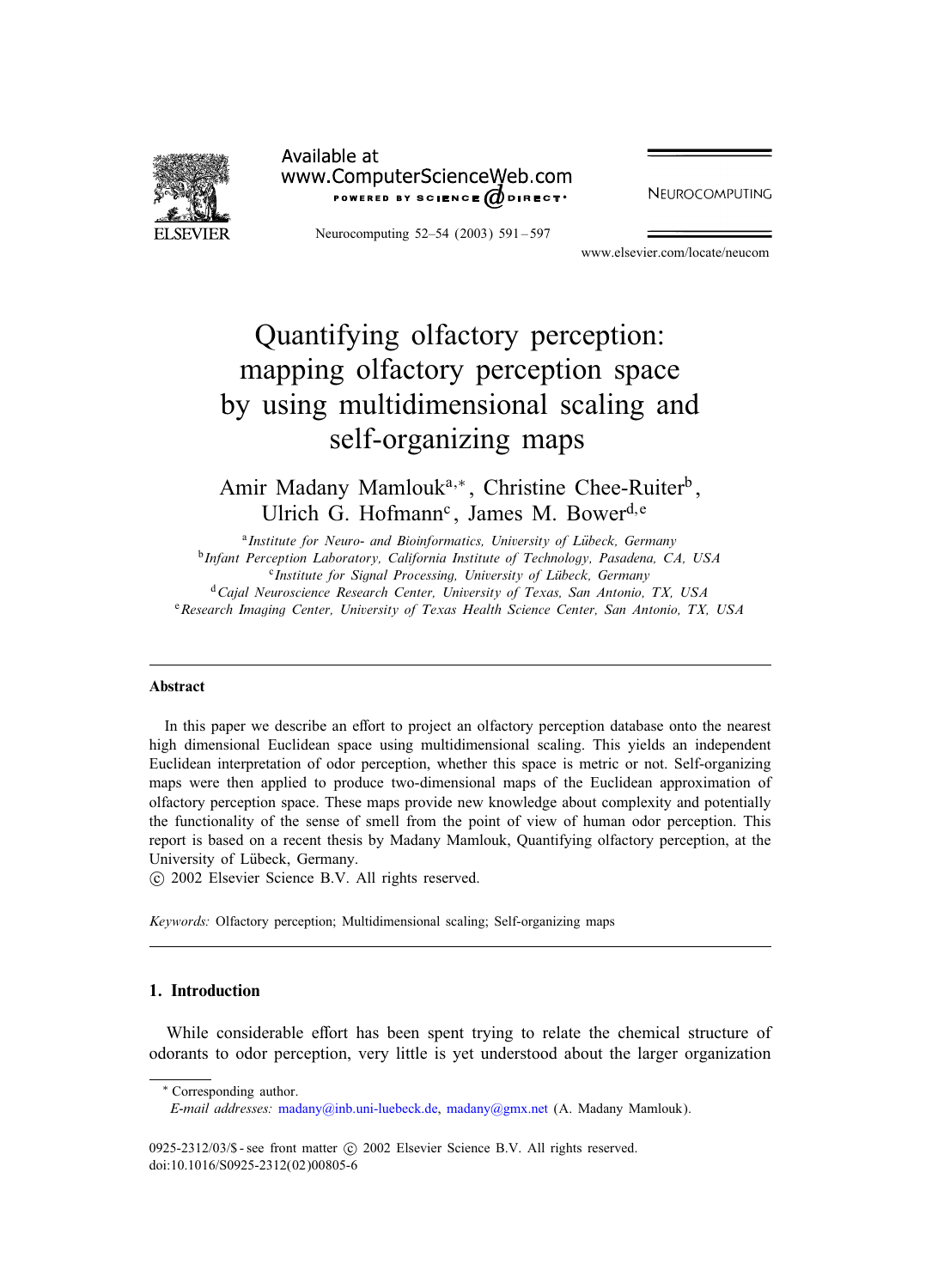

Available at www.ComputerScienceWeb.com POWERED BY SCIENCE @DIRECT\*

Neurocomputing 52–54 (2003) 591 – 597

**NEUROCOMPUTING** 

www.elsevier.com/locate/neucom

# Quantifying olfactory perception: mapping olfactory perception space by using multidimensional scaling and self-organizing maps

Amir Madany Mamlouk<sup>a,∗</sup>, Christine Chee-Ruiter<sup>b</sup>, Ulrich G. Hofmann<sup>c</sup>, James M. Bower<sup>d, e</sup>

<sup>a</sup>*Institute for Neuro- and Bioinformatics, University of Lubeck, Germany* <sup>b</sup>*Infant Perception Laboratory, California Institute of Technology, Pasadena, CA, USA* <sup>c</sup>*Institute for Signal Processing, University of Lubeck, Germany* <sup>d</sup> Cajal Neuroscience Research Center, University of Texas, San Antonio, TX, USA <sup>e</sup> Research Imaging Center, University of Texas Health Science Center, San Antonio, TX, USA

#### Abstract

In this paper we describe an effort to project an olfactory perception database onto the nearest high dimensional Euclidean space using multidimensional scaling. This yields an independent Euclidean interpretation of odor perception, whether this space is metric or not. Self-organizing maps were then applied to produce two-dimensional maps of the Euclidean approximation of olfactory perception space. These maps provide new knowledge about complexity and potentially the functionality of the sense of smell from the point of view of human odor perception. This report is based on a recent thesis by Madany Mamlouk, Quantifying olfactory perception, at the University of Lübeck, Germany.

-c 2002 Elsevier Science B.V. All rights reserved.

*Keywords:* Olfactory perception; Multidimensional scaling; Self-organizing maps

## 1. Introduction

While considerable effort has been spent trying to relate the chemical structure of odorants to odor perception, very little is yet understood about the larger organization

∗ Corresponding author.

0925-2312/03/\$ - see front matter  $\odot$  2002 Elsevier Science B.V. All rights reserved. doi:10.1016/S0925-2312(02)00805-6

*E-mail addresses:* [madany@inb.uni-luebeck.de,](mailto:madany@inb.uni-luebeck.de) [madany@gmx.net](mailto:madany@gmx.net) (A. Madany Mamlouk).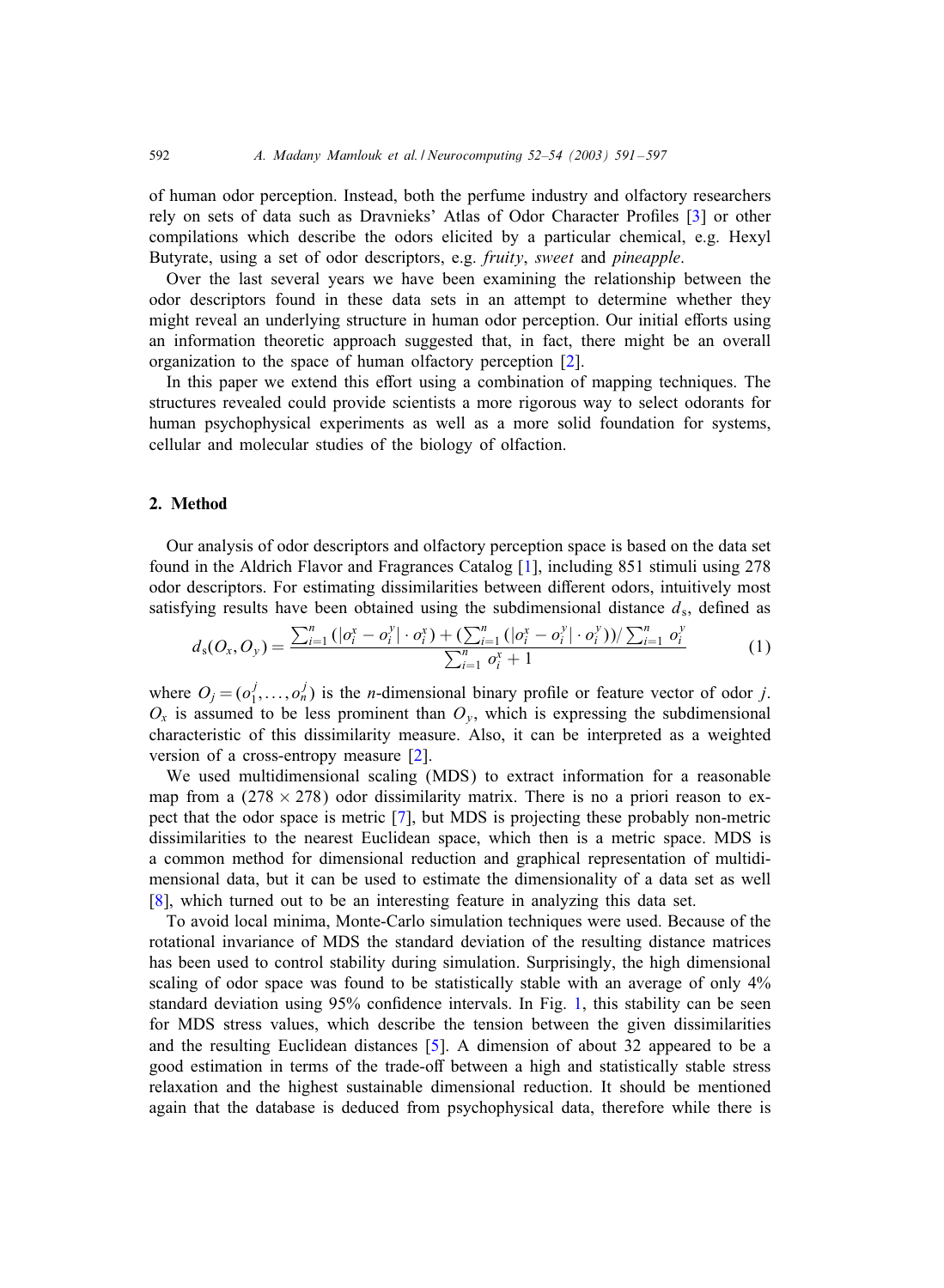of human odor perception. Instead, both the perfume industry and olfactory researchers rely on sets of data such as Dravnieks' Atlas of Odor Character Profiles [\[3\]](#page-5-0) or other compilations which describe the odors elicited by a particular chemical, e.g. Hexyl Butyrate, using a set of odor descriptors, e.g. *fruity*, *sweet* and *pineapple*.

Over the last several years we have been examining the relationship between the odor descriptors found in these data sets in an attempt to determine whether they might reveal an underlying structure in human odor perception. Our initial efforts using an information theoretic approach suggested that, in fact, there might be an overall organization to the space of human olfactory perception [\[2\]](#page-5-0).

In this paper we extend this effort using a combination of mapping techniques. The structures revealed could provide scientists a more rigorous way to select odorants for human psychophysical experiments as well as a more solid foundation for systems, cellular and molecular studies of the biology of olfaction.

### 2. Method

Our analysis of odor descriptors and olfactory perception space is based on the data set found in the Aldrich Flavor and Fragrances Catalog [\[1\]](#page-5-0), including 851 stimuli using 278 odor descriptors. For estimating dissimilarities between different odors, intuitively most satisfying results have been obtained using the subdimensional distance  $d_s$ , defined as

$$
d_{s}(O_{x}, O_{y}) = \frac{\sum_{i=1}^{n} (|\sigma_{i}^{x} - o_{i}^{y}| \cdot o_{i}^{x}) + (\sum_{i=1}^{n} (|\sigma_{i}^{x} - o_{i}^{y}| \cdot o_{i}^{y})) / (\sum_{i=1}^{n} o_{i}^{y})}{\sum_{i=1}^{n} o_{i}^{x} + 1}
$$
(1)

where  $O_j = (o_1^j, \ldots, o_n^j)$  is the *n*-dimensional binary profile or feature vector of odor *j*.  $O_x$  is assumed to be less prominent than  $O_y$ , which is expressing the subdimensional characteristic ofthis dissimilarity measure. Also, it can be interpreted as a weighted version of a cross-entropy measure  $[2]$ .

We used multidimensional scaling (MDS) to extract information for a reasonable map from a  $(278 \times 278)$  odor dissimilarity matrix. There is no a priori reason to expect that the odor space is metric [\[7\]](#page-5-0), but MDS is projecting these probably non-metric dissimilarities to the nearest Euclidean space, which then is a metric space. MDS is a common method for dimensional reduction and graphical representation of multidimensional data, but it can be used to estimate the dimensionality of a data set as well [\[8\]](#page-5-0), which turned out to be an interesting feature in analyzing this data set.

To avoid local minima, Monte-Carlo simulation techniques were used. Because ofthe rotational invariance of MDS the standard deviation of the resulting distance matrices has been used to control stability during simulation. Surprisingly, the high dimensional scaling of odor space was found to be statistically stable with an average of only  $4\%$ standard deviation using 95% confidence intervals. In Fig. [1,](#page-2-0) this stability can be seen for MDS stress values, which describe the tension between the given dissimilarities and the resulting Euclidean distances  $[5]$ . A dimension of about 32 appeared to be a good estimation in terms of the trade-off between a high and statistically stable stress relaxation and the highest sustainable dimensional reduction. It should be mentioned again that the database is deduced from psychophysical data, therefore while there is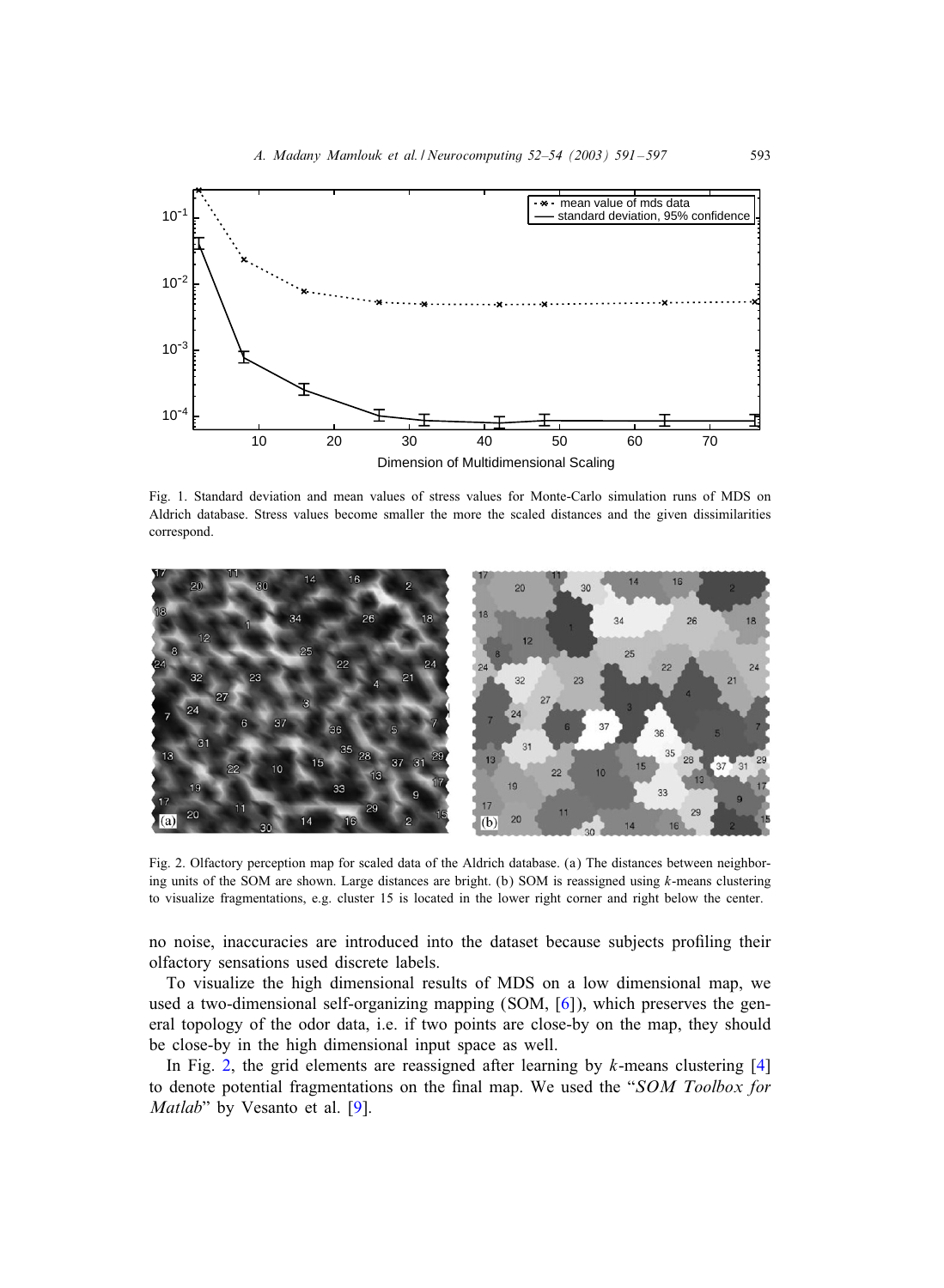<span id="page-2-0"></span>

Fig. 1. Standard deviation and mean values of stress values for Monte-Carlo simulation runs of MDS on Aldrich database. Stress values become smaller the more the scaled distances and the given dissimilarities correspond.



Fig. 2. Olfactory perception map for scaled data of the Aldrich database. (a) The distances between neighboring units of the SOM are shown. Large distances are bright. (b) SOM is reassigned using  $k$ -means clustering to visualize fragmentations, e.g. cluster 15 is located in the lower right corner and right below the center.

no noise, inaccuracies are introduced into the dataset because subjects proGling their olfactory sensations used discrete labels.

To visualize the high dimensional results ofMDS on a low dimensional map, we used a two-dimensional self-organizing mapping (SOM, [\[6\]](#page-5-0)), which preserves the general topology of the odor data, i.e. if two points are close-by on the map, they should be close-by in the high dimensional input space as well.

In Fig. 2, the grid elements are reassigned after learning by  $k$ -means clustering [\[4\]](#page-5-0) to denote potential fragmentations on the final map. We used the "*SOM Toolbox for Matlab*" by Vesanto et al. [\[9\]](#page-5-0).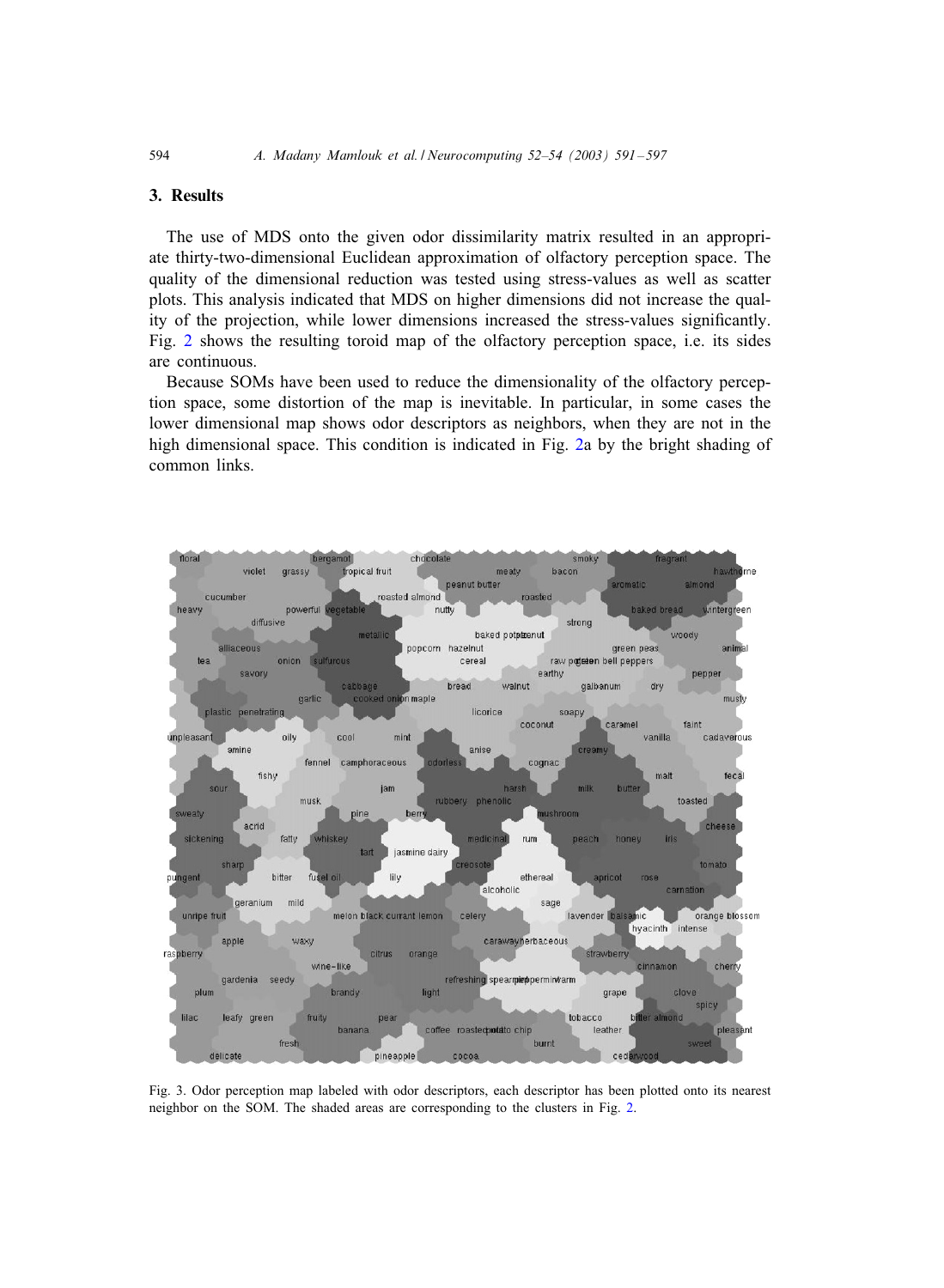# 3. Results

The use of MDS onto the given odor dissimilarity matrix resulted in an appropriate thirty-two-dimensional Euclidean approximation of olfactory perception space. The quality of the dimensional reduction was tested using stress-values as well as scatter plots. This analysis indicated that MDS on higher dimensions did not increase the quality of the projection, while lower dimensions increased the stress-values significantly. Fig. [2](#page-2-0) shows the resulting toroid map of the olfactory perception space, i.e. its sides are continuous.

Because SOMs have been used to reduce the dimensionality of the olfactory perception space, some distortion of the map is inevitable. In particular, in some cases the lower dimensional map shows odor descriptors as neighbors, when they are not in the high dimensional space. This condition is indicated in Fig. [2a](#page-2-0) by the bright shading of common links.



Fig. 3. Odor perception map labeled with odor descriptors, each descriptor has been plotted onto its nearest neighbor on the SOM. The shaded areas are corresponding to the clusters in Fig. [2.](#page-2-0)

<span id="page-3-0"></span>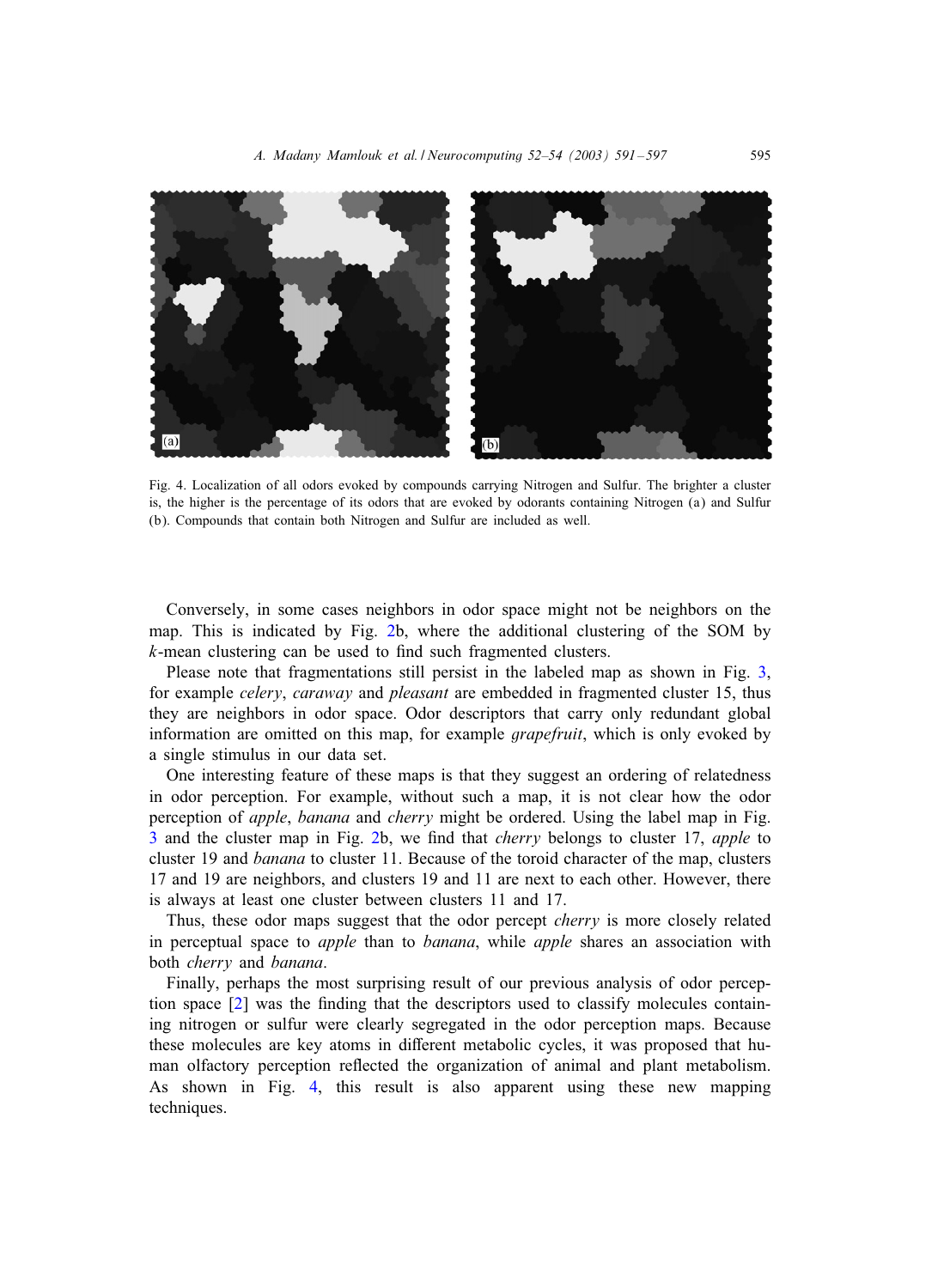

Fig. 4. Localization of all odors evoked by compounds carrying Nitrogen and Sulfur. The brighter a cluster is, the higher is the percentage of its odors that are evoked by odorants containing Nitrogen (a) and Sulfur (b). Compounds that contain both Nitrogen and Sulfur are included as well.

Conversely, in some cases neighbors in odor space might not be neighbors on the map. This is indicated by Fig. [2b](#page-2-0), where the additional clustering of the SOM by  $k$ -mean clustering can be used to find such fragmented clusters.

Please note that fragmentations still persist in the labeled map as shown in Fig. [3,](#page-3-0) for example *celery*, *caraway* and *pleasant* are embedded in fragmented cluster 15, thus they are neighbors in odor space. Odor descriptors that carry only redundant global information are omitted on this map, for example *grapefruit*, which is only evoked by a single stimulus in our data set.

One interesting feature of these maps is that they suggest an ordering of relatedness in odor perception. For example, without such a map, it is not clear how the odor perception of *apple*, *banana* and *cherry* might be ordered. Using the label map in Fig. [3](#page-3-0) and the cluster map in Fig. [2b](#page-2-0), we Gnd that *cherry* belongs to cluster 17, *apple* to cluster 19 and *banana* to cluster 11. Because of the toroid character of the map, clusters 17 and 19 are neighbors, and clusters 19 and 11 are next to each other. However, there is always at least one cluster between clusters 11 and 17.

Thus, these odor maps suggest that the odor percept *cherry* is more closely related in perceptual space to *apple* than to *banana*, while *apple* shares an association with both *cherry* and *banana*.

Finally, perhaps the most surprising result of our previous analysis of odor perception space  $[2]$  was the finding that the descriptors used to classify molecules containing nitrogen or sulfur were clearly segregated in the odor perception maps. Because these molecules are key atoms in different metabolic cycles, it was proposed that human olfactory perception reflected the organization of animal and plant metabolism. As shown in Fig. 4, this result is also apparent using these new mapping techniques.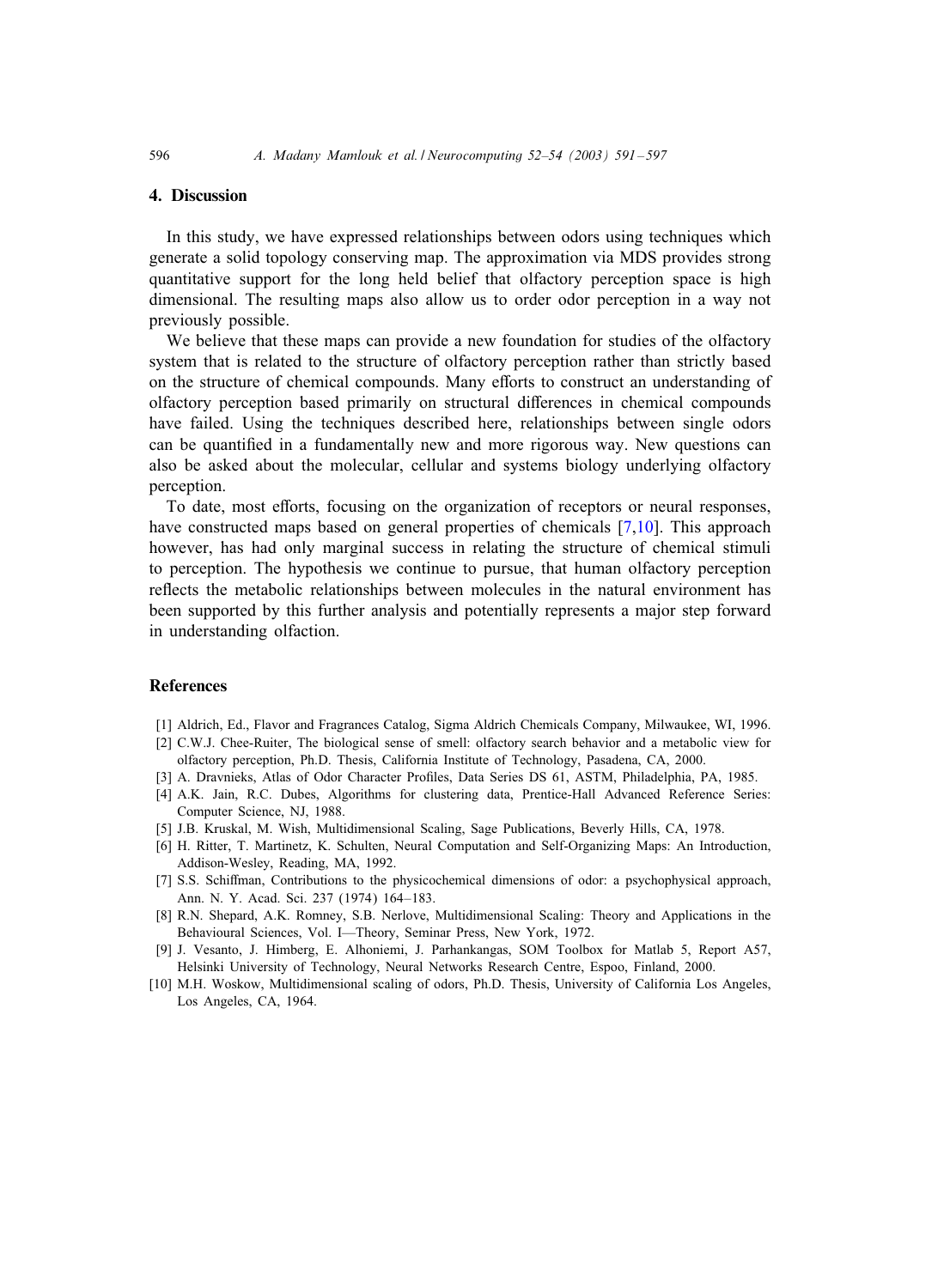## 4. Discussion

In this study, we have expressed relationships between odors using techniques which generate a solid topology conserving map. The approximation via MDS provides strong quantitative support for the long held belief that olfactory perception space is high dimensional. The resulting maps also allow us to order odor perception in a way not previously possible.

We believe that these maps can provide a new foundation for studies of the olfactory system that is related to the structure of olfactory perception rather than strictly based on the structure of chemical compounds. Many efforts to construct an understanding of olfactory perception based primarily on structural differences in chemical compounds have failed. Using the techniques described here, relationships between single odors can be quantified in a fundamentally new and more rigorous way. New questions can also be asked about the molecular, cellular and systems biology underlying olfactory perception.

To date, most efforts, focusing on the organization of receptors or neural responses, have constructed maps based on general properties of chemicals  $[7,10]$ . This approach however, has had only marginal success in relating the structure of chemical stimuli to perception. The hypothesis we continue to pursue, that human olfactory perception reflects the metabolic relationships between molecules in the natural environment has been supported by this further analysis and potentially represents a major step forward in understanding olfaction.

#### References

- [1] Aldrich, Ed., Flavor and Fragrances Catalog, Sigma Aldrich Chemicals Company, Milwaukee, WI, 1996.
- [2] C.W.J. Chee-Ruiter, The biological sense of smell: olfactory search behavior and a metabolic view for olfactory perception, Ph.D. Thesis, California Institute of Technology, Pasadena, CA, 2000.
- [3] A. Dravnieks, Atlas of Odor Character Profiles, Data Series DS 61, ASTM, Philadelphia, PA, 1985.
- [4] A.K. Jain, R.C. Dubes, Algorithms for clustering data, Prentice-Hall Advanced Reference Series: Computer Science, NJ, 1988.
- [5] J.B. Kruskal, M. Wish, Multidimensional Scaling, Sage Publications, Beverly Hills, CA, 1978.
- [6] H. Ritter, T. Martinetz, K. Schulten, Neural Computation and Self-Organizing Maps: An Introduction, Addison-Wesley, Reading, MA, 1992.
- [7] S.S. Schiffman, Contributions to the physicochemical dimensions of odor: a psychophysical approach, Ann. N. Y. Acad. Sci. 237 (1974) 164–183.
- [8] R.N. Shepard, A.K. Romney, S.B. Nerlove, Multidimensional Scaling: Theory and Applications in the Behavioural Sciences, Vol. I—Theory, Seminar Press, New York, 1972.
- [9] J. Vesanto, J. Himberg, E. Alhoniemi, J. Parhankangas, SOM Toolbox for Matlab 5, Report A57, Helsinki University of Technology, Neural Networks Research Centre, Espoo, Finland, 2000.
- [10] M.H. Woskow, Multidimensional scaling of odors, Ph.D. Thesis, University of California Los Angeles, Los Angeles, CA, 1964.

<span id="page-5-0"></span>